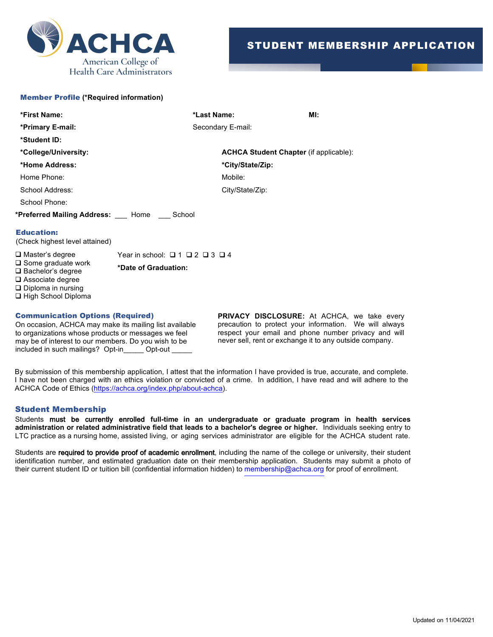

## Member Profile **(\*Required information)**

| *First Name:                                      | *Last Name:                                   | MI: |
|---------------------------------------------------|-----------------------------------------------|-----|
| *Primary E-mail:                                  | Secondary E-mail:                             |     |
| *Student ID:                                      |                                               |     |
| *College/University:                              | <b>ACHCA Student Chapter (if applicable):</b> |     |
| *Home Address:                                    | *City/State/Zip:                              |     |
| Home Phone:                                       | Mobile:                                       |     |
| School Address:                                   | City/State/Zip:                               |     |
| School Phone:                                     |                                               |     |
| <b>*Preferred Mailing Address:</b> Home<br>School |                                               |     |
| <b>Education:</b>                                 |                                               |     |

(Check highest level attained)

 $\Box$  Master's degree Year in school:  $\Box$  1  $\Box$  2  $\Box$  3  $\Box$  4  $\Box$  Some graduate work<br> $\Box$  Sockedarie degrees  $\Box$  Bachelor's degree  $\square$  Associate degree  $\Box$  Diploma in nursing  $\Box$  High School Diploma

## Communication Options (Required)

On occasion, ACHCA may make its mailing list available to organizations whose products or messages we feel may be of interest to our members. Do you wish to be included in such mailings? Opt-in\_\_\_\_\_ Opt-out \_\_\_\_\_

**PRIVACY DISCLOSURE:** At ACHCA, we take every precaution to protect your information. We will always respect your email and phone number privacy and will never sell, rent or exchange it to any outside company.

By submission of this membership application, I attest that the information I have provided is true, accurate, and complete. I have not been charged with an ethics violation or convicted of a crime. In addition, I have read and will adhere to the ACHCA Code of Ethics (https://achca.org/index.php/about-achca).

## Student Membership

Students must be currently enrolled **full-time in an undergraduate or graduate program in health services administration or related administrative field that leads to a bachelor's degree or higher.** Individuals seeking entry to LTC practice as a nursing home, assisted living, or aging services administrator are eligible for the ACHCA student rate.

Students are required to provide proof of academic enrollment, including the name of the college or university, their student identification number, and estimated graduation date on their membership application. Students may submit a photo of their current student ID or tuition bill (confidential information hidden) to membership@achca.org for proof of enrollment.